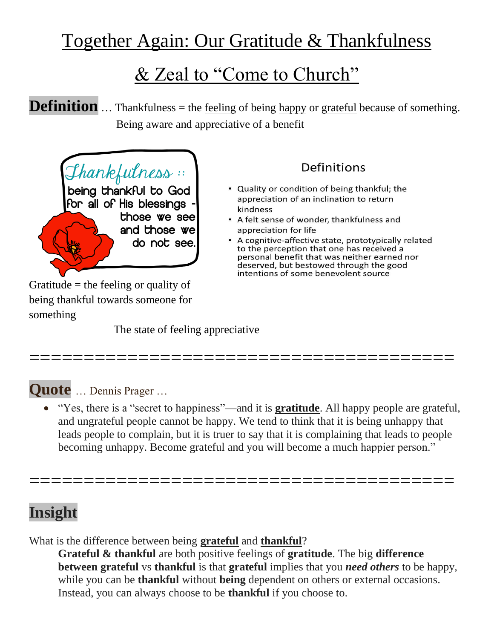# Together Again: Our Gratitude & Thankfulness

# & Zeal to "Come to Church"

**Definition** ... Thankfulness = the <u>[feeling](https://dictionary.cambridge.org/dictionary/english/feeling)</u> of being [happy](https://dictionary.cambridge.org/dictionary/english/happy) or [grateful](https://dictionary.cambridge.org/dictionary/english/grateful) because of something. Being aware and appreciative of a benefit



Gratitude  $=$  the feeling or quality of being thankful towards someone for something

The state of feeling appreciative

#### Definitions

- Quality or condition of being thankful; the appreciation of an inclination to return kindness
- A felt sense of wonder, thankfulness and appreciation for life
- A cognitive-affective state, prototypically related to the perception that one has received a personal benefit that was neither earned nor deserved, but bestowed through the good intentions of some benevolent source

### **Quote** … Dennis Prager …

 "Yes, there is a "secret to happiness"—and it is **gratitude**. All happy people are grateful, and ungrateful people cannot be happy. We tend to think that it is being unhappy that leads people to complain, but it is truer to say that it is complaining that leads to people becoming unhappy. Become grateful and you will become a much happier person."

=======================================

=======================================

### **Insight**

What is the difference between being **grateful** and **thankful**?

**Grateful & thankful** are both positive feelings of **gratitude**. The big **difference between grateful** vs **thankful** is that **grateful** implies that you *need others* to be happy, while you can be **thankful** without **being** dependent on others or external occasions. Instead, you can always choose to be **thankful** if you choose to.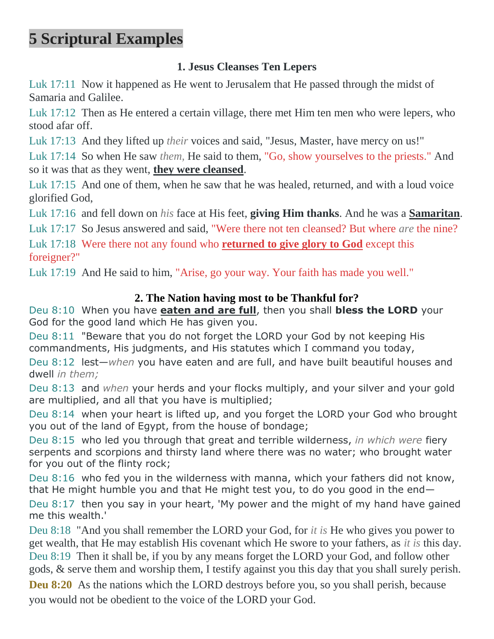## **5 Scriptural Examples**

#### **1. Jesus Cleanses Ten Lepers**

Luk 17:11 Now it happened as He went to Jerusalem that He passed through the midst of Samaria and Galilee.

Luk 17:12 Then as He entered a certain village, there met Him ten men who were lepers, who stood afar off.

Luk 17:13 And they lifted up *their* voices and said, "Jesus, Master, have mercy on us!"

Luk 17:14 So when He saw *them,* He said to them, "Go, show yourselves to the priests." And so it was that as they went, **they were cleansed**.

Luk 17:15 And one of them, when he saw that he was healed, returned, and with a loud voice glorified God,

Luk 17:16 and fell down on *his* face at His feet, **giving Him thanks**. And he was a **Samaritan**.

Luk 17:17 So Jesus answered and said, "Were there not ten cleansed? But where *are* the nine?

Luk 17:18 Were there not any found who **returned to give glory to God** except this foreigner?"

Luk 17:19 And He said to him, "Arise, go your way. Your faith has made you well."

#### **2. The Nation having most to be Thankful for?**

Deu 8:10 When you have **eaten and are full**, then you shall **bless the LORD** your God for the good land which He has given you.

Deu 8:11 "Beware that you do not forget the LORD your God by not keeping His commandments, His judgments, and His statutes which I command you today,

Deu 8:12 lest—*when* you have eaten and are full, and have built beautiful houses and dwell *in them;*

Deu 8:13 and *when* your herds and your flocks multiply, and your silver and your gold are multiplied, and all that you have is multiplied;

Deu 8:14 when your heart is lifted up, and you forget the LORD your God who brought you out of the land of Egypt, from the house of bondage;

Deu 8:15 who led you through that great and terrible wilderness, *in which were* fiery serpents and scorpions and thirsty land where there was no water; who brought water for you out of the flinty rock;

Deu 8:16 who fed you in the wilderness with manna, which your fathers did not know, that He might humble you and that He might test you, to do you good in the end—

Deu 8:17 then you say in your heart, 'My power and the might of my hand have gained me this wealth.'

Deu 8:18 "And you shall remember the LORD your God, for *it is* He who gives you power to get wealth, that He may establish His covenant which He swore to your fathers, as *it is* this day. Deu 8:19 Then it shall be, if you by any means forget the LORD your God, and follow other gods, & serve them and worship them, I testify against you this day that you shall surely perish.

**Deu 8:20** As the nations which the LORD destroys before you, so you shall perish, because you would not be obedient to the voice of the LORD your God.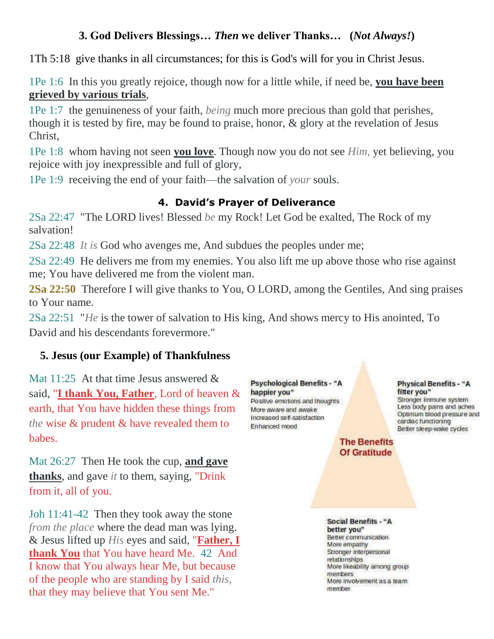#### **3. God Delivers Blessings…** *Then* **we deliver Thanks… (***Not Always!***)**

1Th 5:18 give thanks in all circumstances; for this is God's will for you in Christ Jesus.

1Pe 1:6 In this you greatly rejoice, though now for a little while, if need be, **you have been grieved by various trials**,

1Pe 1:7 the genuineness of your faith, *being* much more precious than gold that perishes, though it is tested by fire, may be found to praise, honor, & glory at the revelation of Jesus Christ,

1Pe 1:8 whom having not seen **you love**. Though now you do not see *Him,* yet believing, you rejoice with joy inexpressible and full of glory,

1Pe 1:9 receiving the end of your faith—the salvation of *your* souls.

#### **4. David's Prayer of Deliverance**

2Sa 22:47 "The LORD lives! Blessed *be* my Rock! Let God be exalted, The Rock of my salvation!

2Sa 22:48 *It is* God who avenges me, And subdues the peoples under me;

2Sa 22:49 He delivers me from my enemies. You also lift me up above those who rise against me; You have delivered me from the violent man.

**2Sa 22:50** Therefore I will give thanks to You, O LORD, among the Gentiles, And sing praises to Your name.

2Sa 22:51 "*He* is the tower of salvation to His king, And shows mercy to His anointed, To David and his descendants forevermore."

#### **5. Jesus (our Example) of Thankfulness**

Mat 11:25 At that time Jesus answered & said, "**I thank You, Father**, Lord of heaven & earth, that You have hidden these things from *the* wise & prudent & have revealed them to babes.

Mat 26:27 Then He took the cup, **and gave thanks**, and gave *it* to them, saying, "Drink from it, all of you.

Joh 11:41-42 Then they took away the stone *from the place* where the dead man was lying. & Jesus lifted up *His* eyes and said, "**Father, I thank You** that You have heard Me. 42 And I know that You always hear Me, but because of the people who are standing by I said *this,* that they may believe that You sent Me."

**Psychological Benefits - "A** happier you" Positive emotions and thoughts More aware and awake Increased self-satisfaction Enhanced mood

#### **Physical Benefits - "A** fitter you" Stronger immune system Less body pains and aches Optimum blood pressure and cardiac functioning Better sleep-wake cycles

**The Benefits Of Gratitude** 

**Social Benefits - "A** better you" Better communication More empathy Stronger interpersonal relationships More likeability among group members More involvement as a team member.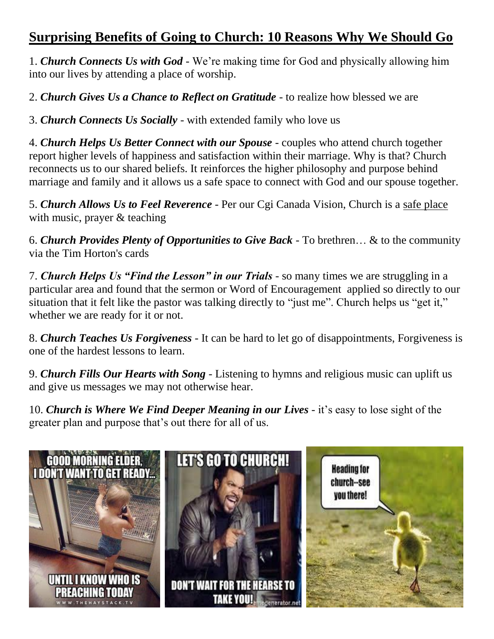### **Surprising Benefits of Going to Church: 10 Reasons Why We Should Go**

1. *Church Connects Us with God* - We're making time for God and physically allowing him into our lives by attending a place of worship.

2. *Church Gives Us a Chance to Reflect on Gratitude* - to realize how blessed we are

3. *Church Connects Us Socially* - with extended family who love us

4. *Church Helps Us Better Connect with our Spouse* - couples who attend church together report higher levels of happiness and satisfaction within their marriage. Why is that? Church reconnects us to our shared beliefs. It reinforces the higher philosophy and purpose behind marriage and family and it allows us a safe space to connect with God and our spouse together.

5. *Church Allows Us to Feel Reverence* - Per our Cgi Canada Vision, Church is a safe place with music, prayer & teaching

6. *Church Provides Plenty of Opportunities to Give Back* - To brethren… & to the community via the Tim Horton's cards

7. *Church Helps Us "Find the Lesson" in our Trials* - so many times we are struggling in a particular area and found that the sermon or Word of Encouragement applied so directly to our situation that it felt like the pastor was talking directly to "just me". Church helps us "get it," whether we are ready for it or not.

8. *Church Teaches Us Forgiveness* - It can be hard to let go of disappointments, Forgiveness is one of the hardest lessons to learn.

9. *Church Fills Our Hearts with Song* - Listening to hymns and religious music can uplift us and give us messages we may not otherwise hear.

10. *Church is Where We Find Deeper Meaning in our Lives* - it's easy to lose sight of the greater plan and purpose that's out there for all of us.

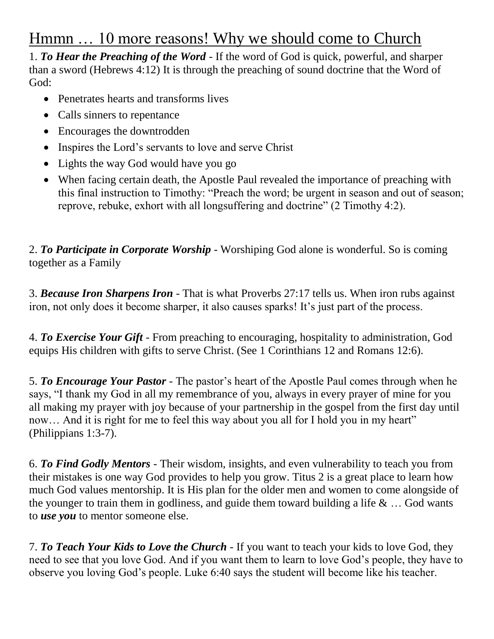### Hmmn … 10 more reasons! Why we should come to Church

1. *To Hear the Preaching of the Word* - If the word of God is quick, powerful, and sharper than a sword (Hebrews 4:12) It is through the preaching of sound doctrine that the Word of God:

- Penetrates hearts and transforms lives
- Calls sinners to repentance
- Encourages the downtrodden
- Inspires the Lord's servants to love and serve Christ
- Lights the way God would have you go
- When facing certain death, the Apostle Paul revealed the importance of preaching with this final instruction to Timothy: "Preach the word; be urgent in season and out of season; reprove, rebuke, exhort with all longsuffering and doctrine" (2 Timothy 4:2).

2. *To Participate in Corporate Worship* - Worshiping God alone is wonderful. So is coming together as a Family

3. *Because Iron Sharpens Iron* - That is what Proverbs 27:17 tells us. When iron rubs against iron, not only does it become sharper, it also causes sparks! It's just part of the process.

4. *To Exercise Your Gift* - From preaching to encouraging, hospitality to administration, God equips His children with gifts to serve Christ. (See 1 Corinthians 12 and Romans 12:6).

5. *To Encourage Your Pastor* - The pastor's heart of the Apostle Paul comes through when he says, "I thank my God in all my remembrance of you, always in every prayer of mine for you all making my prayer with joy because of your partnership in the gospel from the first day until now... And it is right for me to feel this way about you all for I hold you in my heart" (Philippians 1:3-7).

6. *To Find Godly Mentors* - Their wisdom, insights, and even vulnerability to teach you from their mistakes is one way God provides to help you grow. Titus 2 is a great place to learn how much God values mentorship. It is His plan for the older men and women to come alongside of the younger to train them in godliness, and guide them toward building a life  $\& \dots$  God wants to *use you* to mentor someone else.

7. *To Teach Your Kids to Love the Church* - If you want to teach your kids to love God, they need to see that you love God. And if you want them to learn to love God's people, they have to observe you loving God's people. Luke 6:40 says the student will become like his teacher.